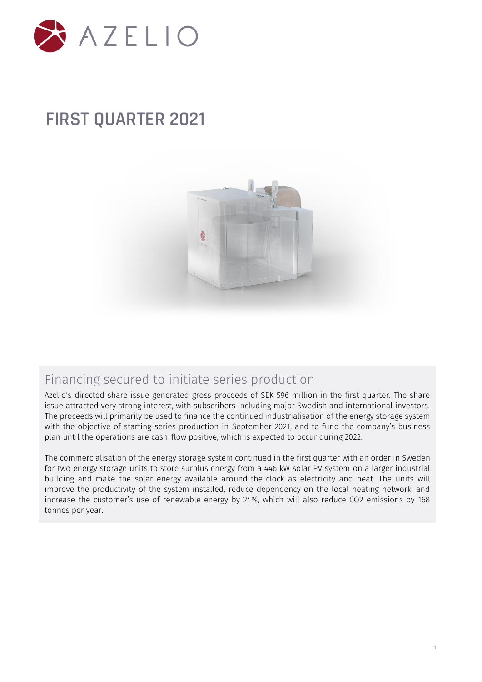

# **FIRST QUARTER 2021**



### Financing secured to initiate series production

Azelio's directed share issue generated gross proceeds of SEK 596 million in the first quarter. The share issue attracted very strong interest, with subscribers including major Swedish and international investors. The proceeds will primarily be used to finance the continued industrialisation of the energy storage system with the objective of starting series production in September 2021, and to fund the company's business plan until the operations are cash-flow positive, which is expected to occur during 2022.

The commercialisation of the energy storage system continued in the first quarter with an order in Sweden for two energy storage units to store surplus energy from a 446 kW solar PV system on a larger industrial building and make the solar energy available around-the-clock as electricity and heat. The units will improve the productivity of the system installed, reduce dependency on the local heating network, and increase the customer's use of renewable energy by 24%, which will also reduce CO2 emissions by 168 tonnes per year.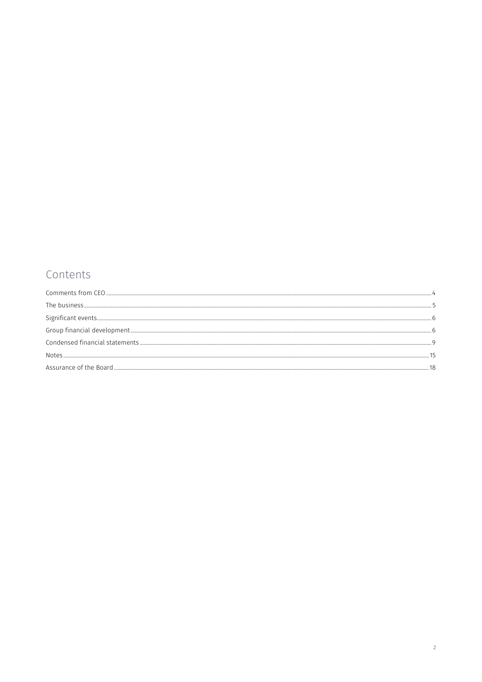### Contents

| Notes |  |
|-------|--|
|       |  |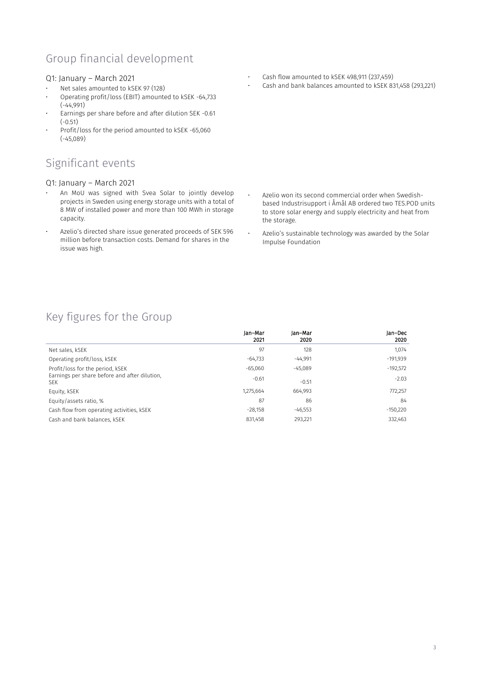### Group financial development

### Q1: January – March 2021

- Net sales amounted to kSEK 97 (128)
- Operating profit/loss (EBIT) amounted to kSEK -64,733 (-44,991)
- Earnings per share before and after dilution SEK -0.61 (-0.51)
- Profit/loss for the period amounted to kSEK -65,060 (-45,089)

### Significant events

### Q1: January – March 2021

- An MoU was signed with Svea Solar to jointly develop projects in Sweden using energy storage units with a total of 8 MW of installed power and more than 100 MWh in storage capacity.
- Azelio's directed share issue generated proceeds of SEK 596 million before transaction costs. Demand for shares in the issue was high.
- Cash flow amounted to kSEK 498,911 (237,459)
- Cash and bank balances amounted to kSEK 831,458 (293,221)

- Azelio won its second commercial order when Swedishbased Industrisupport i Åmål AB ordered two TES.POD units to store solar energy and supply electricity and heat from the storage.
- Azelio's sustainable technology was awarded by the Solar Impulse Foundation

### Key figures for the Group

|                                                                                                 | Jan-Mar<br>2021 | Jan-Mar<br>2020 | Jan-Dec<br>2020 |
|-------------------------------------------------------------------------------------------------|-----------------|-----------------|-----------------|
| Net sales, kSEK                                                                                 | 97              | 128             | 1,074           |
| Operating profit/loss, kSEK                                                                     | $-64,733$       | $-44,991$       | $-191,939$      |
| Profit/loss for the period, kSEK<br>Earnings per share before and after dilution.<br><b>SEK</b> | $-65,060$       | $-45,089$       | $-192,572$      |
|                                                                                                 | $-0.61$         | $-0.51$         | $-2.03$         |
| Equity, kSEK                                                                                    | 1,275,664       | 664.993         | 772,257         |
| Equity/assets ratio, %                                                                          | 87              | 86              | 84              |
| Cash flow from operating activities, KSEK                                                       | $-28.158$       | $-46.553$       | $-150,220$      |
| Cash and bank balances, kSEK                                                                    | 831,458         | 293,221         | 332,463         |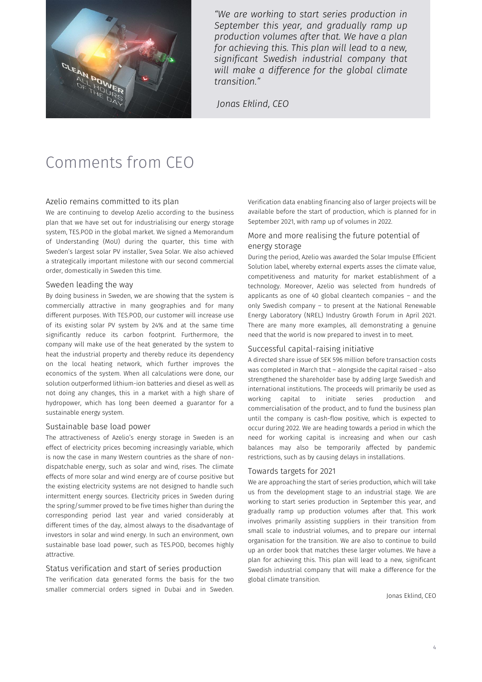

*"We are working to start series production in September this year, and gradually ramp up production volumes after that. We have a plan for achieving this. This plan will lead to a new, significant Swedish industrial company that will make a difference for the global climate transition."* 

*Jonas Eklind, CEO*

# <span id="page-3-0"></span>Comments from CEO

### Azelio remains committed to its plan

We are continuing to develop Azelio according to the business plan that we have set out for industrialising our energy storage system, TES.POD in the global market. We signed a Memorandum of Understanding (MoU) during the quarter, this time with Sweden's largest solar PV installer, Svea Solar. We also achieved a strategically important milestone with our second commercial order, domestically in Sweden this time.

#### Sweden leading the way

By doing business in Sweden, we are showing that the system is commercially attractive in many geographies and for many different purposes. With TES.POD, our customer will increase use of its existing solar PV system by 24% and at the same time significantly reduce its carbon footprint. Furthermore, the company will make use of the heat generated by the system to heat the industrial property and thereby reduce its dependency on the local heating network, which further improves the economics of the system. When all calculations were done, our solution outperformed lithium-ion batteries and diesel as well as not doing any changes, this in a market with a high share of hydropower, which has long been deemed a guarantor for a sustainable energy system.

### Sustainable base load power

The attractiveness of Azelio's energy storage in Sweden is an effect of electricity prices becoming increasingly variable, which is now the case in many Western countries as the share of nondispatchable energy, such as solar and wind, rises. The climate effects of more solar and wind energy are of course positive but the existing electricity systems are not designed to handle such intermittent energy sources. Electricity prices in Sweden during the spring/summer proved to be five times higher than during the corresponding period last year and varied considerably at different times of the day, almost always to the disadvantage of investors in solar and wind energy. In such an environment, own sustainable base load power, such as TES.POD, becomes highly attractive.

#### Status verification and start of series production

The verification data generated forms the basis for the two smaller commercial orders signed in Dubai and in Sweden.

Verification data enabling financing also of larger projects will be available before the start of production, which is planned for in September 2021, with ramp up of volumes in 2022.

### More and more realising the future potential of energy storage

During the period, Azelio was awarded the Solar Impulse Efficient Solution label, whereby external experts asses the climate value, competitiveness and maturity for market establishment of a technology. Moreover, Azelio was selected from hundreds of applicants as one of 40 global cleantech companies – and the only Swedish company – to present at the National Renewable Energy Laboratory (NREL) Industry Growth Forum in April 2021. There are many more examples, all demonstrating a genuine need that the world is now prepared to invest in to meet.

### Successful capital-raising initiative

A directed share issue of SEK 596 million before transaction costs was completed in March that – alongside the capital raised – also strengthened the shareholder base by adding large Swedish and international institutions. The proceeds will primarily be used as working capital to initiate series production and commercialisation of the product, and to fund the business plan until the company is cash-flow positive, which is expected to occur during 2022. We are heading towards a period in which the need for working capital is increasing and when our cash balances may also be temporarily affected by pandemic restrictions, such as by causing delays in installations.

### Towards targets for 2021

We are approaching the start of series production, which will take us from the development stage to an industrial stage. We are working to start series production in September this year, and gradually ramp up production volumes after that. This work involves primarily assisting suppliers in their transition from small scale to industrial volumes, and to prepare our internal organisation for the transition. We are also to continue to build up an order book that matches these larger volumes. We have a plan for achieving this. This plan will lead to a new, significant Swedish industrial company that will make a difference for the global climate transition.

Jonas Eklind, CEO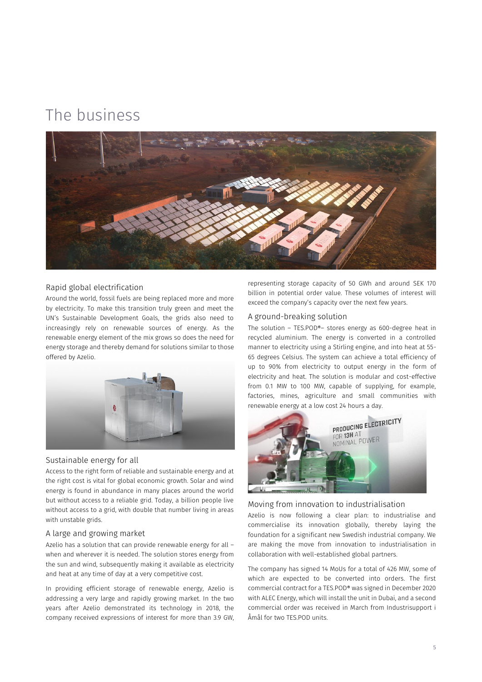## <span id="page-4-0"></span>The business



### Rapid global electrification

Around the world, fossil fuels are being replaced more and more by electricity. To make this transition truly green and meet the UN's Sustainable Development Goals, the grids also need to increasingly rely on renewable sources of energy. As the renewable energy element of the mix grows so does the need for energy storage and thereby demand for solutions similar to those offered by Azelio.

![](_page_4_Picture_4.jpeg)

### Sustainable energy for all

Access to the right form of reliable and sustainable energy and at the right cost is vital for global economic growth. Solar and wind energy is found in abundance in many places around the world but without access to a reliable grid. Today, a billion people live without access to a grid, with double that number living in areas with unstable grids.

### A large and growing market

Azelio has a solution that can provide renewable energy for all – when and wherever it is needed. The solution stores energy from the sun and wind, subsequently making it available as electricity and heat at any time of day at a very competitive cost.

In providing efficient storage of renewable energy, Azelio is addressing a very large and rapidly growing market. In the two years after Azelio demonstrated its technology in 2018, the company received expressions of interest for more than 3.9 GW, representing storage capacity of 50 GWh and around SEK 170 billion in potential order value. These volumes of interest will exceed the company's capacity over the next few years.

### A ground-breaking solution

The solution – TES.POD®– stores energy as 600-degree heat in recycled aluminium. The energy is converted in a controlled manner to electricity using a Stirling engine, and into heat at 55- 65 degrees Celsius. The system can achieve a total efficiency of up to 90% from electricity to output energy in the form of electricity and heat. The solution is modular and cost-effective from 0.1 MW to 100 MW, capable of supplying, for example, factories, mines, agriculture and small communities with renewable energy at a low cost 24 hours a day.

![](_page_4_Picture_13.jpeg)

### Moving from innovation to industrialisation

Azelio is now following a clear plan: to industrialise and commercialise its innovation globally, thereby laying the foundation for a significant new Swedish industrial company. We are making the move from innovation to industrialisation in collaboration with well-established global partners.

The company has signed 14 MoUs for a total of 426 MW, some of which are expected to be converted into orders. The first commercial contract for a TES.POD® was signed in December 2020 with ALEC Energy, which will install the unit in Dubai, and a second commercial order was received in March from Industrisupport i Åmål for two TES.POD units.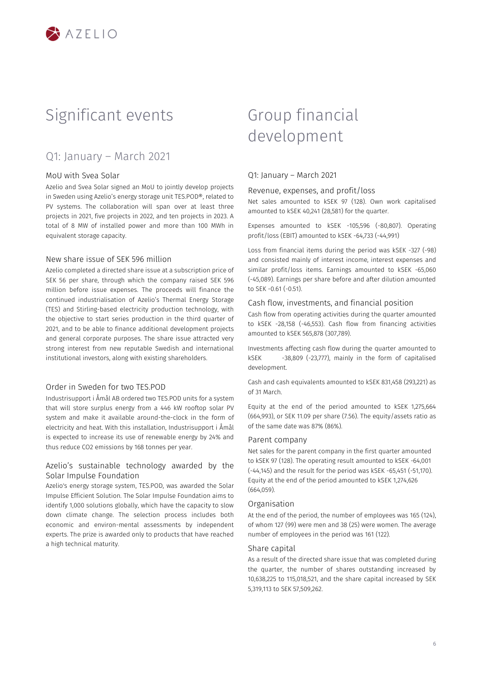![](_page_5_Picture_0.jpeg)

## <span id="page-5-0"></span>Significant events

### Q1: January – March 2021

### MoU with Svea Solar

Azelio and Svea Solar signed an MoU to jointly develop projects in Sweden using Azelio's energy storage unit TES.POD®, related to PV systems. The collaboration will span over at least three projects in 2021, five projects in 2022, and ten projects in 2023. A total of 8 MW of installed power and more than 100 MWh in equivalent storage capacity.

#### New share issue of SEK 596 million

Azelio completed a directed share issue at a subscription price of SEK 56 per share, through which the company raised SEK 596 million before issue expenses. The proceeds will finance the continued industrialisation of Azelio's Thermal Energy Storage (TES) and Stirling-based electricity production technology, with the objective to start series production in the third quarter of 2021, and to be able to finance additional development projects and general corporate purposes. The share issue attracted very strong interest from new reputable Swedish and international institutional investors, along with existing shareholders.

### Order in Sweden for two TFS POD

Industrisupport i Åmål AB ordered two TES.POD units for a system that will store surplus energy from a 446 kW rooftop solar PV system and make it available around-the-clock in the form of electricity and heat. With this installation, Industrisupport i Åmål is expected to increase its use of renewable energy by 24% and thus reduce CO2 emissions by 168 tonnes per year.

### Azelio's sustainable technology awarded by the Solar Impulse Foundation

Azelio's energy storage system, TES.POD, was awarded the Solar Impulse Efficient Solution. The Solar Impulse Foundation aims to identify 1,000 solutions globally, which have the capacity to slow down climate change. The selection process includes both economic and environ-mental assessments by independent experts. The prize is awarded only to products that have reached a high technical maturity.

## <span id="page-5-1"></span>Group financial development

### Q1: January – March 2021

### Revenue, expenses, and profit/loss

Net sales amounted to kSEK 97 (128). Own work capitalised amounted to kSEK 40,241 (28,581) for the quarter.

Expenses amounted to kSEK -105,596 (-80,807). Operating profit/loss (EBIT) amounted to kSEK -64,733 (-44,991)

Loss from financial items during the period was kSEK -327 (-98) and consisted mainly of interest income, interest expenses and similar profit/loss items. Earnings amounted to kSEK -65,060 (-45,089). Earnings per share before and after dilution amounted to SEK -0.61 (-0.51).

#### Cash flow, investments, and financial position

Cash flow from operating activities during the quarter amounted to kSEK -28,158 (-46,553). Cash flow from financing activities amounted to kSEK 565,878 (307,789).

Investments affecting cash flow during the quarter amounted to kSEK -38,809 (-23,777), mainly in the form of capitalised development.

Cash and cash equivalents amounted to kSEK 831,458 (293,221) as of 31 March.

Equity at the end of the period amounted to kSEK 1,275,664 (664,993), or SEK 11.09 per share (7.56). The equity/assets ratio as of the same date was 87% (86%).

### Parent company

Net sales for the parent company in the first quarter amounted to kSEK 97 (128). The operating result amounted to kSEK -64,001 (-44,145) and the result for the period was kSEK -65,451 (-51,170). Equity at the end of the period amounted to kSEK 1,274,626 (664,059).

### Organisation

At the end of the period, the number of employees was 165 (124), of whom 127 (99) were men and 38 (25) were women. The average number of employees in the period was 161 (122).

### Share capital

As a result of the directed share issue that was completed during the quarter, the number of shares outstanding increased by 10,638,225 to 115,018,521, and the share capital increased by SEK 5,319,113 to SEK 57,509,262.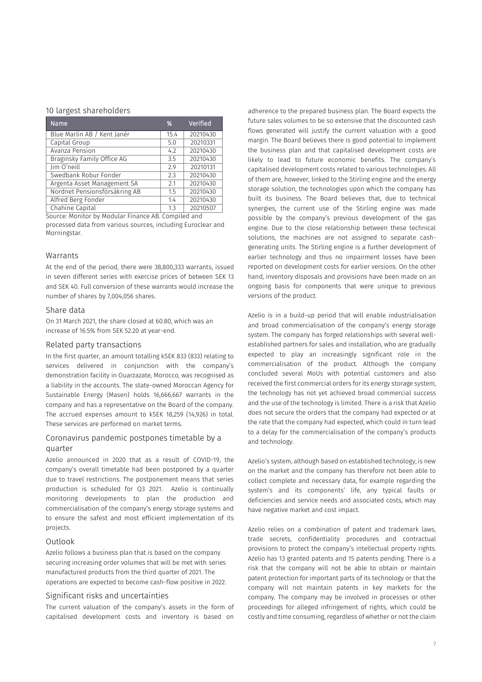### 10 largest shareholders

| Name                          | %    | Verified |
|-------------------------------|------|----------|
| Blue Marlin AB / Kent Janér   | 15.4 | 20210430 |
| Capital Group                 | 5.0  | 20210331 |
| Avanza Pension                | 4.2  | 20210430 |
| Braginsky Family Office AG    | 3.5  | 20210430 |
| Jim O'neill                   | 2.9  | 20210131 |
| Swedbank Robur Fonder         | 2.3  | 20210430 |
| Argenta Asset Management SA   | 2.1  | 20210430 |
| Nordnet Pensionsförsäkring AB | 1.5  | 20210430 |
| Alfred Berg Fonder            | 1.4  | 20210430 |
| Chahine Capital               | 1.3  | 20210507 |

Source: Monitor by Modular Finance AB. Compiled and processed data from various sources, including Euroclear and Morningstar.

### Warrants

At the end of the period, there were 38,800,333 warrants, issued in seven different series with exercise prices of between SEK 13 and SEK 40. Full conversion of these warrants would increase the number of shares by 7,004,056 shares.

### Share data

On 31 March 2021, the share closed at 60.80, which was an increase of 16.5% from SEK 52.20 at year-end.

### Related party transactions

In the first quarter, an amount totalling kSEK 833 (833) relating to services delivered in conjunction with the company's demonstration facility in Ouarzazate, Morocco, was recognised as a liability in the accounts. The state-owned Moroccan Agency for Sustainable Energy (Masen) holds 16,666,667 warrants in the company and has a representative on the Board of the company. The accrued expenses amount to kSEK 18,259 (14,926) in total. These services are performed on market terms.

### Coronavirus pandemic postpones timetable by a quarter

Azelio announced in 2020 that as a result of COVID-19, the company's overall timetable had been postponed by a quarter due to travel restrictions. The postponement means that series production is scheduled for Q3 2021. Azelio is continually monitoring developments to plan the production and commercialisation of the company's energy storage systems and to ensure the safest and most efficient implementation of its projects.

### Outlook

Azelio follows a business plan that is based on the company securing increasing order volumes that will be met with series manufactured products from the third quarter of 2021. The operations are expected to become cash-flow positive in 2022.

#### Significant risks and uncertainties

The current valuation of the company's assets in the form of capitalised development costs and inventory is based on

adherence to the prepared business plan. The Board expects the future sales volumes to be so extensive that the discounted cash flows generated will justify the current valuation with a good margin. The Board believes there is good potential to implement the business plan and that capitalised development costs are likely to lead to future economic benefits. The company's capitalised development costs related to various technologies. All of them are, however, linked to the Stirling engine and the energy storage solution, the technologies upon which the company has built its business. The Board believes that, due to technical synergies, the current use of the Stirling engine was made possible by the company's previous development of the gas engine. Due to the close relationship between these technical solutions, the machines are not assigned to separate cashgenerating units. The Stirling engine is a further development of earlier technology and thus no impairment losses have been reported on development costs for earlier versions. On the other hand, inventory disposals and provisions have been made on an ongoing basis for components that were unique to previous versions of the product.

Azelio is in a build-up period that will enable industrialisation and broad commercialisation of the company's energy storage system. The company has forged relationships with several wellestablished partners for sales and installation, who are gradually expected to play an increasingly significant role in the commercialisation of the product. Although the company concluded several MoUs with potential customers and also received the first commercial orders for its energy storage system, the technology has not yet achieved broad commercial success and the use of the technology is limited. There is a risk that Azelio does not secure the orders that the company had expected or at the rate that the company had expected, which could in turn lead to a delay for the commercialisation of the company's products and technology.

Azelio's system, although based on established technology, is new on the market and the company has therefore not been able to collect complete and necessary data, for example regarding the system's and its components' life, any typical faults or deficiencies and service needs and associated costs, which may have negative market and cost impact.

Azelio relies on a combination of patent and trademark laws, trade secrets, confidentiality procedures and contractual provisions to protect the company's intellectual property rights. Azelio has 13 granted patents and 15 patents pending. There is a risk that the company will not be able to obtain or maintain patent protection for important parts of its technology or that the company will not maintain patents in key markets for the company. The company may be involved in processes or other proceedings for alleged infringement of rights, which could be costly and time consuming, regardless of whether or not the claim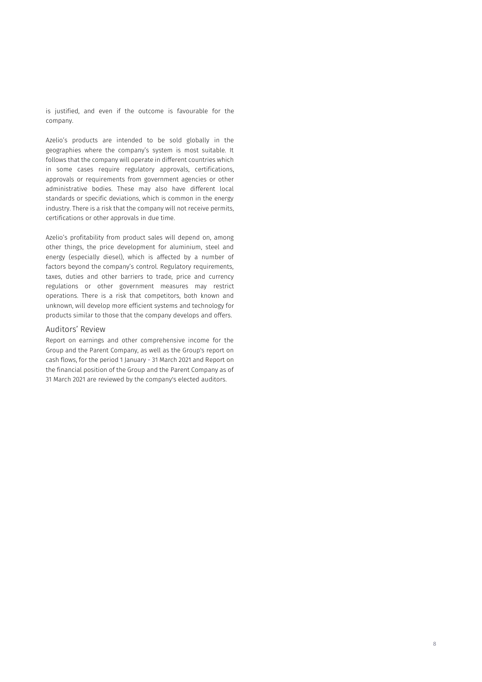is justified, and even if the outcome is favourable for the company.

Azelio's products are intended to be sold globally in the geographies where the company's system is most suitable. It follows that the company will operate in different countries which in some cases require regulatory approvals, certifications, approvals or requirements from government agencies or other administrative bodies. These may also have different local standards or specific deviations, which is common in the energy industry. There is a risk that the company will not receive permits, certifications or other approvals in due time.

Azelio's profitability from product sales will depend on, among other things, the price development for aluminium, steel and energy (especially diesel), which is affected by a number of factors beyond the company's control. Regulatory requirements, taxes, duties and other barriers to trade, price and currency regulations or other government measures may restrict operations. There is a risk that competitors, both known and unknown, will develop more efficient systems and technology for products similar to those that the company develops and offers.

### Auditors' Review

Report on earnings and other comprehensive income for the Group and the Parent Company, as well as the Group's report on cash flows, for the period 1 January - 31 March 2021 and Report on the financial position of the Group and the Parent Company as of 31 March 2021 are reviewed by the company's elected auditors.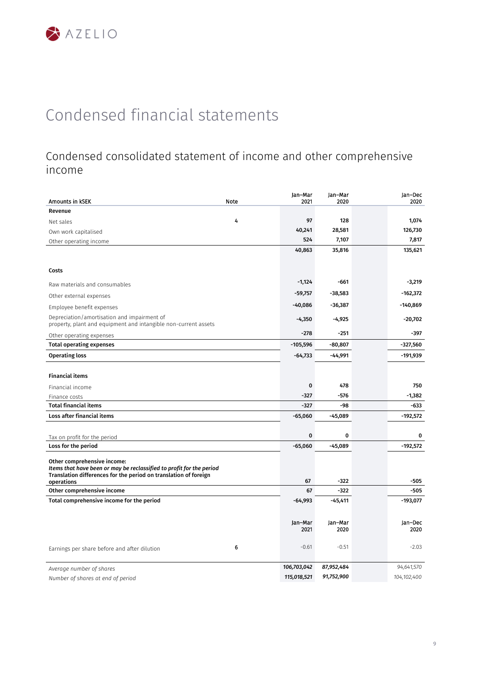### <span id="page-8-0"></span>Condensed consolidated statement of income and other comprehensive income

| Amounts in KSEK                                                                                                | Note | Jan-Mar<br>2021 | Jan-Mar<br>2020 | Jan-Dec<br>2020 |
|----------------------------------------------------------------------------------------------------------------|------|-----------------|-----------------|-----------------|
| Revenue                                                                                                        |      |                 |                 |                 |
| Net sales                                                                                                      | 4    | 97              | 128             | 1,074           |
| Own work capitalised                                                                                           |      | 40,241          | 28,581          | 126,730         |
| Other operating income                                                                                         |      | 524             | 7,107           | 7,817           |
|                                                                                                                |      | 40,863          | 35,816          | 135,621         |
|                                                                                                                |      |                 |                 |                 |
| Costs                                                                                                          |      |                 |                 |                 |
| Raw materials and consumables                                                                                  |      | $-1,124$        | $-661$          | $-3,219$        |
| Other external expenses                                                                                        |      | $-59,757$       | $-38,583$       | $-162,372$      |
| Employee benefit expenses                                                                                      |      | -40,086         | -36,387         | -140,869        |
| Depreciation/amortisation and impairment of<br>property, plant and equipment and intangible non-current assets |      | $-4,350$        | $-4,925$        | $-20,702$       |
| Other operating expenses                                                                                       |      | $-278$          | $-251$          | -397            |
| <b>Total operating expenses</b>                                                                                |      | $-105,596$      | $-80,807$       | -327,560        |
| <b>Operating loss</b>                                                                                          |      | $-64,733$       | $-44,991$       | $-191,939$      |
|                                                                                                                |      |                 |                 |                 |
| <b>Financial items</b>                                                                                         |      |                 |                 |                 |
| Financial income                                                                                               |      | $\mathbf 0$     | 478             | 750             |
| Finance costs                                                                                                  |      | $-327$          | -576            | -1,382          |
| <b>Total financial items</b>                                                                                   |      | $-327$          | -98             | -633            |
| <b>Loss after financial items</b>                                                                              |      | $-65,060$       | $-45,089$       | $-192,572$      |
|                                                                                                                |      |                 |                 |                 |
| Tax on profit for the period                                                                                   |      | 0               | 0               | $\mathbf 0$     |
| Loss for the period                                                                                            |      | $-65,060$       | $-45,089$       | $-192,572$      |
| Other comprehensive income:                                                                                    |      |                 |                 |                 |
| Items that have been or may be reclassified to profit for the period                                           |      |                 |                 |                 |
| Translation differences for the period on translation of foreign<br>operations                                 |      | 67              | $-322$          | $-505$          |
| Other comprehensive income                                                                                     |      | 67              | $-322$          | $-505$          |
| Total comprehensive income for the period                                                                      |      | $-64,993$       | $-45,411$       | $-193,077$      |
|                                                                                                                |      |                 |                 |                 |
|                                                                                                                |      | Jan-Mar         | Jan-Mar         | Jan-Dec         |
|                                                                                                                |      | 2021            | 2020            | 2020            |
| Earnings per share before and after dilution                                                                   | 6    | $-0.61$         | $-0.51$         | $-2.03$         |
| Average number of shares                                                                                       |      | 106,703,042     | 87,952,484      | 94,641,570      |
| Number of shares at end of period                                                                              |      | 115,018,521     | 91,752,900      | 104,102,400     |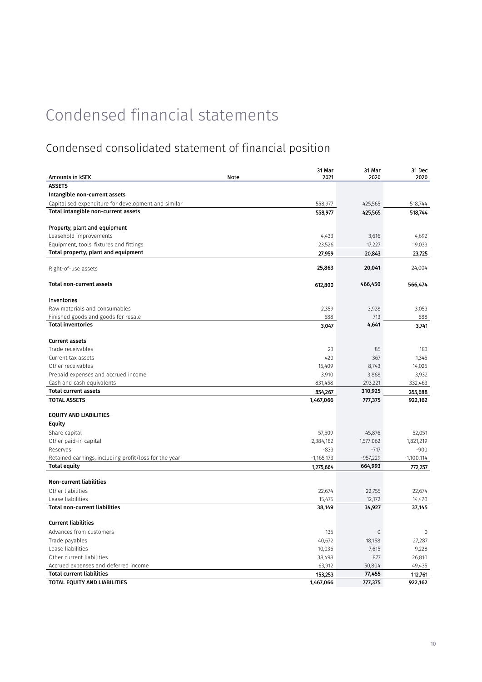### Condensed consolidated statement of financial position

| <b>ASSETS</b><br>Intangible non-current assets<br>Capitalised expenditure for development and similar<br>558,977<br>425,565<br>518,744<br>Total intangible non-current assets<br>558,977<br>425,565<br>518,744<br>Property, plant and equipment<br>Leasehold improvements<br>4,433<br>4,692<br>3,616<br>23,526<br>17,227<br>19,033<br>Equipment, tools, fixtures and fittings<br>Total property, plant and equipment<br>27,959<br>20,843<br>23,725<br>25,863<br>20,041<br>24,004<br>Right-of-use assets<br><b>Total non-current assets</b><br>466,450<br>612,800<br>566,474<br>Inventories<br>Raw materials and consumables<br>2,359<br>3,928<br>3,053<br>Finished goods and goods for resale<br>688<br>688<br>713<br><b>Total inventories</b><br>4,641<br>3,047<br>3,741<br><b>Current assets</b><br>Trade receivables<br>23<br>85<br>183<br>420<br>Current tax assets<br>367<br>1,345<br>Other receivables<br>15,409<br>8,743<br>14,025<br>Prepaid expenses and accrued income<br>3,910<br>3,932<br>3,868<br>831,458<br>293,221<br>332,463<br>Cash and cash equivalents<br><b>Total current assets</b><br>310,925<br>854,267<br>355,688<br><b>TOTAL ASSETS</b><br>1,467,066<br>777,375<br>922,162<br><b>EQUITY AND LIABILITIES</b><br><b>Equity</b><br>Share capital<br>57,509<br>45,876<br>52,051<br>Other paid-in capital<br>2,384,162<br>1,821,219<br>1,577,062<br>$-833$<br>$-717$<br>$-900$<br>Reserves<br>Retained earnings, including profit/loss for the year<br>$-1,165,173$<br>$-957,229$<br>$-1,100,114$<br><b>Total equity</b><br>664,993<br>1,275,664<br>772,257<br><b>Non-current liabilities</b><br>Other liabilities<br>22,674<br>22,755<br>22,674<br>Lease liabilities<br>15,475<br>12,172<br>14,470<br><b>Total non-current liabilities</b><br>38,149<br>34,927<br>37,145<br><b>Current liabilities</b><br>Advances from customers<br>135<br>$\mathbf{0}$<br>0<br>Trade payables<br>40,672<br>27,287<br>18,158<br>Lease liabilities<br>10,036<br>7,615<br>9,228<br>Other current liabilities<br>38,498<br>877<br>26,810<br>63,912<br>49,435<br>Accrued expenses and deferred income<br>50,804<br><b>Total current liabilities</b><br>77,455<br>153,253<br>112,761<br>TOTAL EQUITY AND LIABILITIES<br>1,467,066<br>777,375<br>922,162 |                 |      | 31 Mar | 31 Mar | 31 Dec |
|----------------------------------------------------------------------------------------------------------------------------------------------------------------------------------------------------------------------------------------------------------------------------------------------------------------------------------------------------------------------------------------------------------------------------------------------------------------------------------------------------------------------------------------------------------------------------------------------------------------------------------------------------------------------------------------------------------------------------------------------------------------------------------------------------------------------------------------------------------------------------------------------------------------------------------------------------------------------------------------------------------------------------------------------------------------------------------------------------------------------------------------------------------------------------------------------------------------------------------------------------------------------------------------------------------------------------------------------------------------------------------------------------------------------------------------------------------------------------------------------------------------------------------------------------------------------------------------------------------------------------------------------------------------------------------------------------------------------------------------------------------------------------------------------------------------------------------------------------------------------------------------------------------------------------------------------------------------------------------------------------------------------------------------------------------------------------------------------------------------------------------------------------------------------------------------------------------------------------------------------------------|-----------------|------|--------|--------|--------|
|                                                                                                                                                                                                                                                                                                                                                                                                                                                                                                                                                                                                                                                                                                                                                                                                                                                                                                                                                                                                                                                                                                                                                                                                                                                                                                                                                                                                                                                                                                                                                                                                                                                                                                                                                                                                                                                                                                                                                                                                                                                                                                                                                                                                                                                          | Amounts in KSEK | Note | 2021   | 2020   | 2020   |
|                                                                                                                                                                                                                                                                                                                                                                                                                                                                                                                                                                                                                                                                                                                                                                                                                                                                                                                                                                                                                                                                                                                                                                                                                                                                                                                                                                                                                                                                                                                                                                                                                                                                                                                                                                                                                                                                                                                                                                                                                                                                                                                                                                                                                                                          |                 |      |        |        |        |
|                                                                                                                                                                                                                                                                                                                                                                                                                                                                                                                                                                                                                                                                                                                                                                                                                                                                                                                                                                                                                                                                                                                                                                                                                                                                                                                                                                                                                                                                                                                                                                                                                                                                                                                                                                                                                                                                                                                                                                                                                                                                                                                                                                                                                                                          |                 |      |        |        |        |
|                                                                                                                                                                                                                                                                                                                                                                                                                                                                                                                                                                                                                                                                                                                                                                                                                                                                                                                                                                                                                                                                                                                                                                                                                                                                                                                                                                                                                                                                                                                                                                                                                                                                                                                                                                                                                                                                                                                                                                                                                                                                                                                                                                                                                                                          |                 |      |        |        |        |
|                                                                                                                                                                                                                                                                                                                                                                                                                                                                                                                                                                                                                                                                                                                                                                                                                                                                                                                                                                                                                                                                                                                                                                                                                                                                                                                                                                                                                                                                                                                                                                                                                                                                                                                                                                                                                                                                                                                                                                                                                                                                                                                                                                                                                                                          |                 |      |        |        |        |
|                                                                                                                                                                                                                                                                                                                                                                                                                                                                                                                                                                                                                                                                                                                                                                                                                                                                                                                                                                                                                                                                                                                                                                                                                                                                                                                                                                                                                                                                                                                                                                                                                                                                                                                                                                                                                                                                                                                                                                                                                                                                                                                                                                                                                                                          |                 |      |        |        |        |
|                                                                                                                                                                                                                                                                                                                                                                                                                                                                                                                                                                                                                                                                                                                                                                                                                                                                                                                                                                                                                                                                                                                                                                                                                                                                                                                                                                                                                                                                                                                                                                                                                                                                                                                                                                                                                                                                                                                                                                                                                                                                                                                                                                                                                                                          |                 |      |        |        |        |
|                                                                                                                                                                                                                                                                                                                                                                                                                                                                                                                                                                                                                                                                                                                                                                                                                                                                                                                                                                                                                                                                                                                                                                                                                                                                                                                                                                                                                                                                                                                                                                                                                                                                                                                                                                                                                                                                                                                                                                                                                                                                                                                                                                                                                                                          |                 |      |        |        |        |
|                                                                                                                                                                                                                                                                                                                                                                                                                                                                                                                                                                                                                                                                                                                                                                                                                                                                                                                                                                                                                                                                                                                                                                                                                                                                                                                                                                                                                                                                                                                                                                                                                                                                                                                                                                                                                                                                                                                                                                                                                                                                                                                                                                                                                                                          |                 |      |        |        |        |
|                                                                                                                                                                                                                                                                                                                                                                                                                                                                                                                                                                                                                                                                                                                                                                                                                                                                                                                                                                                                                                                                                                                                                                                                                                                                                                                                                                                                                                                                                                                                                                                                                                                                                                                                                                                                                                                                                                                                                                                                                                                                                                                                                                                                                                                          |                 |      |        |        |        |
|                                                                                                                                                                                                                                                                                                                                                                                                                                                                                                                                                                                                                                                                                                                                                                                                                                                                                                                                                                                                                                                                                                                                                                                                                                                                                                                                                                                                                                                                                                                                                                                                                                                                                                                                                                                                                                                                                                                                                                                                                                                                                                                                                                                                                                                          |                 |      |        |        |        |
|                                                                                                                                                                                                                                                                                                                                                                                                                                                                                                                                                                                                                                                                                                                                                                                                                                                                                                                                                                                                                                                                                                                                                                                                                                                                                                                                                                                                                                                                                                                                                                                                                                                                                                                                                                                                                                                                                                                                                                                                                                                                                                                                                                                                                                                          |                 |      |        |        |        |
|                                                                                                                                                                                                                                                                                                                                                                                                                                                                                                                                                                                                                                                                                                                                                                                                                                                                                                                                                                                                                                                                                                                                                                                                                                                                                                                                                                                                                                                                                                                                                                                                                                                                                                                                                                                                                                                                                                                                                                                                                                                                                                                                                                                                                                                          |                 |      |        |        |        |
|                                                                                                                                                                                                                                                                                                                                                                                                                                                                                                                                                                                                                                                                                                                                                                                                                                                                                                                                                                                                                                                                                                                                                                                                                                                                                                                                                                                                                                                                                                                                                                                                                                                                                                                                                                                                                                                                                                                                                                                                                                                                                                                                                                                                                                                          |                 |      |        |        |        |
|                                                                                                                                                                                                                                                                                                                                                                                                                                                                                                                                                                                                                                                                                                                                                                                                                                                                                                                                                                                                                                                                                                                                                                                                                                                                                                                                                                                                                                                                                                                                                                                                                                                                                                                                                                                                                                                                                                                                                                                                                                                                                                                                                                                                                                                          |                 |      |        |        |        |
|                                                                                                                                                                                                                                                                                                                                                                                                                                                                                                                                                                                                                                                                                                                                                                                                                                                                                                                                                                                                                                                                                                                                                                                                                                                                                                                                                                                                                                                                                                                                                                                                                                                                                                                                                                                                                                                                                                                                                                                                                                                                                                                                                                                                                                                          |                 |      |        |        |        |
|                                                                                                                                                                                                                                                                                                                                                                                                                                                                                                                                                                                                                                                                                                                                                                                                                                                                                                                                                                                                                                                                                                                                                                                                                                                                                                                                                                                                                                                                                                                                                                                                                                                                                                                                                                                                                                                                                                                                                                                                                                                                                                                                                                                                                                                          |                 |      |        |        |        |
|                                                                                                                                                                                                                                                                                                                                                                                                                                                                                                                                                                                                                                                                                                                                                                                                                                                                                                                                                                                                                                                                                                                                                                                                                                                                                                                                                                                                                                                                                                                                                                                                                                                                                                                                                                                                                                                                                                                                                                                                                                                                                                                                                                                                                                                          |                 |      |        |        |        |
|                                                                                                                                                                                                                                                                                                                                                                                                                                                                                                                                                                                                                                                                                                                                                                                                                                                                                                                                                                                                                                                                                                                                                                                                                                                                                                                                                                                                                                                                                                                                                                                                                                                                                                                                                                                                                                                                                                                                                                                                                                                                                                                                                                                                                                                          |                 |      |        |        |        |
|                                                                                                                                                                                                                                                                                                                                                                                                                                                                                                                                                                                                                                                                                                                                                                                                                                                                                                                                                                                                                                                                                                                                                                                                                                                                                                                                                                                                                                                                                                                                                                                                                                                                                                                                                                                                                                                                                                                                                                                                                                                                                                                                                                                                                                                          |                 |      |        |        |        |
|                                                                                                                                                                                                                                                                                                                                                                                                                                                                                                                                                                                                                                                                                                                                                                                                                                                                                                                                                                                                                                                                                                                                                                                                                                                                                                                                                                                                                                                                                                                                                                                                                                                                                                                                                                                                                                                                                                                                                                                                                                                                                                                                                                                                                                                          |                 |      |        |        |        |
|                                                                                                                                                                                                                                                                                                                                                                                                                                                                                                                                                                                                                                                                                                                                                                                                                                                                                                                                                                                                                                                                                                                                                                                                                                                                                                                                                                                                                                                                                                                                                                                                                                                                                                                                                                                                                                                                                                                                                                                                                                                                                                                                                                                                                                                          |                 |      |        |        |        |
|                                                                                                                                                                                                                                                                                                                                                                                                                                                                                                                                                                                                                                                                                                                                                                                                                                                                                                                                                                                                                                                                                                                                                                                                                                                                                                                                                                                                                                                                                                                                                                                                                                                                                                                                                                                                                                                                                                                                                                                                                                                                                                                                                                                                                                                          |                 |      |        |        |        |
|                                                                                                                                                                                                                                                                                                                                                                                                                                                                                                                                                                                                                                                                                                                                                                                                                                                                                                                                                                                                                                                                                                                                                                                                                                                                                                                                                                                                                                                                                                                                                                                                                                                                                                                                                                                                                                                                                                                                                                                                                                                                                                                                                                                                                                                          |                 |      |        |        |        |
|                                                                                                                                                                                                                                                                                                                                                                                                                                                                                                                                                                                                                                                                                                                                                                                                                                                                                                                                                                                                                                                                                                                                                                                                                                                                                                                                                                                                                                                                                                                                                                                                                                                                                                                                                                                                                                                                                                                                                                                                                                                                                                                                                                                                                                                          |                 |      |        |        |        |
|                                                                                                                                                                                                                                                                                                                                                                                                                                                                                                                                                                                                                                                                                                                                                                                                                                                                                                                                                                                                                                                                                                                                                                                                                                                                                                                                                                                                                                                                                                                                                                                                                                                                                                                                                                                                                                                                                                                                                                                                                                                                                                                                                                                                                                                          |                 |      |        |        |        |
|                                                                                                                                                                                                                                                                                                                                                                                                                                                                                                                                                                                                                                                                                                                                                                                                                                                                                                                                                                                                                                                                                                                                                                                                                                                                                                                                                                                                                                                                                                                                                                                                                                                                                                                                                                                                                                                                                                                                                                                                                                                                                                                                                                                                                                                          |                 |      |        |        |        |
|                                                                                                                                                                                                                                                                                                                                                                                                                                                                                                                                                                                                                                                                                                                                                                                                                                                                                                                                                                                                                                                                                                                                                                                                                                                                                                                                                                                                                                                                                                                                                                                                                                                                                                                                                                                                                                                                                                                                                                                                                                                                                                                                                                                                                                                          |                 |      |        |        |        |
|                                                                                                                                                                                                                                                                                                                                                                                                                                                                                                                                                                                                                                                                                                                                                                                                                                                                                                                                                                                                                                                                                                                                                                                                                                                                                                                                                                                                                                                                                                                                                                                                                                                                                                                                                                                                                                                                                                                                                                                                                                                                                                                                                                                                                                                          |                 |      |        |        |        |
|                                                                                                                                                                                                                                                                                                                                                                                                                                                                                                                                                                                                                                                                                                                                                                                                                                                                                                                                                                                                                                                                                                                                                                                                                                                                                                                                                                                                                                                                                                                                                                                                                                                                                                                                                                                                                                                                                                                                                                                                                                                                                                                                                                                                                                                          |                 |      |        |        |        |
|                                                                                                                                                                                                                                                                                                                                                                                                                                                                                                                                                                                                                                                                                                                                                                                                                                                                                                                                                                                                                                                                                                                                                                                                                                                                                                                                                                                                                                                                                                                                                                                                                                                                                                                                                                                                                                                                                                                                                                                                                                                                                                                                                                                                                                                          |                 |      |        |        |        |
|                                                                                                                                                                                                                                                                                                                                                                                                                                                                                                                                                                                                                                                                                                                                                                                                                                                                                                                                                                                                                                                                                                                                                                                                                                                                                                                                                                                                                                                                                                                                                                                                                                                                                                                                                                                                                                                                                                                                                                                                                                                                                                                                                                                                                                                          |                 |      |        |        |        |
|                                                                                                                                                                                                                                                                                                                                                                                                                                                                                                                                                                                                                                                                                                                                                                                                                                                                                                                                                                                                                                                                                                                                                                                                                                                                                                                                                                                                                                                                                                                                                                                                                                                                                                                                                                                                                                                                                                                                                                                                                                                                                                                                                                                                                                                          |                 |      |        |        |        |
|                                                                                                                                                                                                                                                                                                                                                                                                                                                                                                                                                                                                                                                                                                                                                                                                                                                                                                                                                                                                                                                                                                                                                                                                                                                                                                                                                                                                                                                                                                                                                                                                                                                                                                                                                                                                                                                                                                                                                                                                                                                                                                                                                                                                                                                          |                 |      |        |        |        |
|                                                                                                                                                                                                                                                                                                                                                                                                                                                                                                                                                                                                                                                                                                                                                                                                                                                                                                                                                                                                                                                                                                                                                                                                                                                                                                                                                                                                                                                                                                                                                                                                                                                                                                                                                                                                                                                                                                                                                                                                                                                                                                                                                                                                                                                          |                 |      |        |        |        |
|                                                                                                                                                                                                                                                                                                                                                                                                                                                                                                                                                                                                                                                                                                                                                                                                                                                                                                                                                                                                                                                                                                                                                                                                                                                                                                                                                                                                                                                                                                                                                                                                                                                                                                                                                                                                                                                                                                                                                                                                                                                                                                                                                                                                                                                          |                 |      |        |        |        |
|                                                                                                                                                                                                                                                                                                                                                                                                                                                                                                                                                                                                                                                                                                                                                                                                                                                                                                                                                                                                                                                                                                                                                                                                                                                                                                                                                                                                                                                                                                                                                                                                                                                                                                                                                                                                                                                                                                                                                                                                                                                                                                                                                                                                                                                          |                 |      |        |        |        |
|                                                                                                                                                                                                                                                                                                                                                                                                                                                                                                                                                                                                                                                                                                                                                                                                                                                                                                                                                                                                                                                                                                                                                                                                                                                                                                                                                                                                                                                                                                                                                                                                                                                                                                                                                                                                                                                                                                                                                                                                                                                                                                                                                                                                                                                          |                 |      |        |        |        |
|                                                                                                                                                                                                                                                                                                                                                                                                                                                                                                                                                                                                                                                                                                                                                                                                                                                                                                                                                                                                                                                                                                                                                                                                                                                                                                                                                                                                                                                                                                                                                                                                                                                                                                                                                                                                                                                                                                                                                                                                                                                                                                                                                                                                                                                          |                 |      |        |        |        |
|                                                                                                                                                                                                                                                                                                                                                                                                                                                                                                                                                                                                                                                                                                                                                                                                                                                                                                                                                                                                                                                                                                                                                                                                                                                                                                                                                                                                                                                                                                                                                                                                                                                                                                                                                                                                                                                                                                                                                                                                                                                                                                                                                                                                                                                          |                 |      |        |        |        |
|                                                                                                                                                                                                                                                                                                                                                                                                                                                                                                                                                                                                                                                                                                                                                                                                                                                                                                                                                                                                                                                                                                                                                                                                                                                                                                                                                                                                                                                                                                                                                                                                                                                                                                                                                                                                                                                                                                                                                                                                                                                                                                                                                                                                                                                          |                 |      |        |        |        |
|                                                                                                                                                                                                                                                                                                                                                                                                                                                                                                                                                                                                                                                                                                                                                                                                                                                                                                                                                                                                                                                                                                                                                                                                                                                                                                                                                                                                                                                                                                                                                                                                                                                                                                                                                                                                                                                                                                                                                                                                                                                                                                                                                                                                                                                          |                 |      |        |        |        |
|                                                                                                                                                                                                                                                                                                                                                                                                                                                                                                                                                                                                                                                                                                                                                                                                                                                                                                                                                                                                                                                                                                                                                                                                                                                                                                                                                                                                                                                                                                                                                                                                                                                                                                                                                                                                                                                                                                                                                                                                                                                                                                                                                                                                                                                          |                 |      |        |        |        |
|                                                                                                                                                                                                                                                                                                                                                                                                                                                                                                                                                                                                                                                                                                                                                                                                                                                                                                                                                                                                                                                                                                                                                                                                                                                                                                                                                                                                                                                                                                                                                                                                                                                                                                                                                                                                                                                                                                                                                                                                                                                                                                                                                                                                                                                          |                 |      |        |        |        |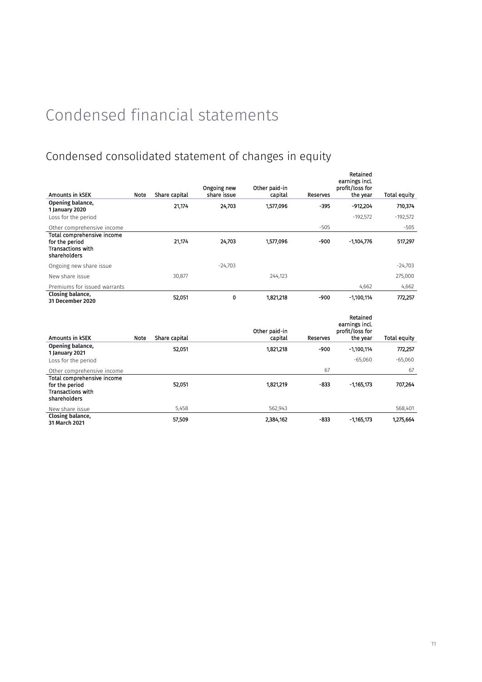## Condensed consolidated statement of changes in equity

|                                                                                          |      |               | Ongoing new | Other paid-in            |          | Retained<br>earnings incl.<br>profit/loss for             |              |
|------------------------------------------------------------------------------------------|------|---------------|-------------|--------------------------|----------|-----------------------------------------------------------|--------------|
| <b>Amounts in KSEK</b>                                                                   | Note | Share capital | share issue | capital                  | Reserves | the year                                                  | Total equity |
| Opening balance,<br>1 January 2020                                                       |      | 21,174        | 24,703      | 1,577,096                | $-395$   | $-912,204$                                                | 710,374      |
| Loss for the period                                                                      |      |               |             |                          |          | $-192,572$                                                | $-192,572$   |
| Other comprehensive income                                                               |      |               |             |                          | $-505$   |                                                           | $-505$       |
| Total comprehensive income<br>for the period<br><b>Transactions with</b><br>shareholders |      | 21,174        | 24,703      | 1,577,096                | -900     | $-1,104,776$                                              | 517,297      |
| Ongoing new share issue                                                                  |      |               | $-24,703$   |                          |          |                                                           | $-24,703$    |
| New share issue                                                                          |      | 30,877        |             | 244.123                  |          |                                                           | 275,000      |
| Premiums for issued warrants                                                             |      |               |             |                          |          | 4,662                                                     | 4,662        |
| Closing balance,<br>31 December 2020                                                     |      | 52,051        | 0           | 1,821,218                | $-900$   | $-1,100,114$                                              | 772,257      |
| Amounts in KSEK                                                                          | Note | Share capital |             | Other paid-in<br>capital | Reserves | Retained<br>earnings incl.<br>profit/loss for<br>the year | Total equity |
| Opening balance,<br>1 January 2021                                                       |      | 52,051        |             | 1,821,218                | -900     | $-1,100,114$                                              | 772,257      |
| Loss for the period                                                                      |      |               |             |                          |          | $-65,060$                                                 | $-65,060$    |
| Other comprehensive income                                                               |      |               |             |                          | 67       |                                                           | 67           |
| Total comprehensive income<br>for the period<br><b>Transactions with</b><br>shareholders |      | 52,051        |             | 1,821,219                | $-833$   | $-1,165,173$                                              | 707,264      |

New share issue 5,458 568,401 5,458 568,911 5,458 568,911 568,911 568,911 568,911 568,401 568,401 568,401 568, Closing balance, 57,509 2,384,162 -833 -1,165,173 1,275,664<br>31 March 2021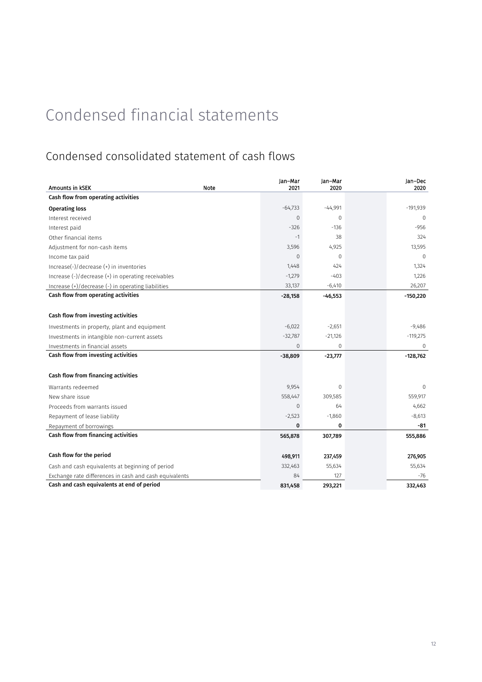### Condensed consolidated statement of cash flows

| Amounts in kSEK                                        | Note | Jan-Mar<br>2021 | Jan-Mar<br>2020 | Jan-Dec<br>2020 |
|--------------------------------------------------------|------|-----------------|-----------------|-----------------|
| Cash flow from operating activities                    |      |                 |                 |                 |
| <b>Operating loss</b>                                  |      | $-64,733$       | $-44,991$       | $-191,939$      |
| Interest received                                      |      | $\mathbf 0$     | 0               | $\Omega$        |
| Interest paid                                          |      | $-326$          | $-136$          | $-956$          |
| Other financial items                                  |      | $-1$            | 38              | 324             |
| Adjustment for non-cash items                          |      | 3,596           | 4,925           | 13,595          |
| Income tax paid                                        |      | $\mathbf 0$     | $\mathbf{0}$    | $\Omega$        |
| Increase(-)/decrease (+) in inventories                |      | 1,448           | 424             | 1,324           |
| Increase (-)/decrease (+) in operating receivables     |      | $-1,279$        | $-403$          | 1,226           |
| Increase (+)/decrease (-) in operating liabilities     |      | 33,137          | $-6,410$        | 26,207          |
| Cash flow from operating activities                    |      | $-28,158$       | $-46,553$       | $-150,220$      |
|                                                        |      |                 |                 |                 |
| Cash flow from investing activities                    |      |                 |                 |                 |
| Investments in property, plant and equipment           |      | $-6,022$        | $-2,651$        | $-9,486$        |
| Investments in intangible non-current assets           |      | $-32,787$       | $-21,126$       | $-119,275$      |
| Investments in financial assets                        |      | 0               | $\mathbf 0$     | $\mathbf 0$     |
| Cash flow from investing activities                    |      | $-38,809$       | $-23,777$       | $-128,762$      |
|                                                        |      |                 |                 |                 |
| Cash flow from financing activities                    |      |                 |                 |                 |
| Warrants redeemed                                      |      | 9,954           | $\mathbf{0}$    | $\mathbf{0}$    |
| New share issue                                        |      | 558,447         | 309,585         | 559,917         |
| Proceeds from warrants issued                          |      | $\mathbf 0$     | 64              | 4,662           |
| Repayment of lease liability                           |      | $-2,523$        | $-1,860$        | $-8,613$        |
| Repayment of borrowings                                |      | 0               | 0               | -81             |
| Cash flow from financing activities                    |      | 565,878         | 307,789         | 555,886         |
|                                                        |      |                 |                 |                 |
| Cash flow for the period                               |      | 498,911         | 237,459         | 276,905         |
| Cash and cash equivalents at beginning of period       |      | 332,463         | 55,634          | 55,634          |
| Exchange rate differences in cash and cash equivalents |      | 84              | 127             | -76             |
| Cash and cash equivalents at end of period             |      | 831,458         | 293,221         | 332,463         |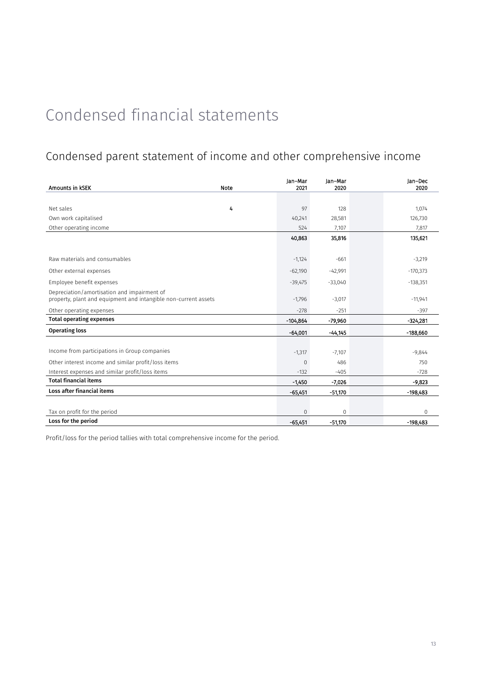### Condensed parent statement of income and other comprehensive income

| Amounts in KSEK                                                                                                | Note | Jan-Mar<br>2021 | Jan-Mar<br>2020 | Jan-Dec<br>2020 |
|----------------------------------------------------------------------------------------------------------------|------|-----------------|-----------------|-----------------|
|                                                                                                                |      |                 |                 |                 |
| Net sales                                                                                                      | 4    | 97              | 128             | 1,074           |
| Own work capitalised                                                                                           |      | 40,241          | 28,581          | 126,730         |
| Other operating income                                                                                         |      | 524             | 7,107           | 7,817           |
|                                                                                                                |      | 40,863          | 35,816          | 135,621         |
|                                                                                                                |      |                 |                 |                 |
| Raw materials and consumables                                                                                  |      | $-1,124$        | $-661$          | $-3,219$        |
| Other external expenses                                                                                        |      | $-62,190$       | $-42,991$       | $-170,373$      |
| Employee benefit expenses                                                                                      |      | $-39,475$       | $-33,040$       | $-138,351$      |
| Depreciation/amortisation and impairment of<br>property, plant and equipment and intangible non-current assets |      | $-1,796$        | $-3,017$        | $-11,941$       |
| Other operating expenses                                                                                       |      | $-278$          | $-251$          | $-397$          |
| <b>Total operating expenses</b>                                                                                |      | $-104,864$      | $-79.960$       | $-324,281$      |
| <b>Operating loss</b>                                                                                          |      | $-64,001$       | $-44.145$       | $-188,660$      |
|                                                                                                                |      |                 |                 |                 |
| Income from participations in Group companies                                                                  |      | $-1,317$        | $-7,107$        | $-9,844$        |
| Other interest income and similar profit/loss items                                                            |      | $\overline{0}$  | 486             | 750             |
| Interest expenses and similar profit/loss items                                                                |      | $-132$          | $-405$          | $-728$          |
| <b>Total financial items</b>                                                                                   |      | $-1,450$        | $-7,026$        | $-9,823$        |
| Loss after financial items                                                                                     |      | $-65,451$       | $-51.170$       | $-198.483$      |
|                                                                                                                |      |                 |                 |                 |
| Tax on profit for the period                                                                                   |      | $\overline{0}$  | $\mathbf 0$     | $\Omega$        |
| Loss for the period                                                                                            |      | $-65.451$       | $-51.170$       | $-198.483$      |

Profit/loss for the period tallies with total comprehensive income for the period.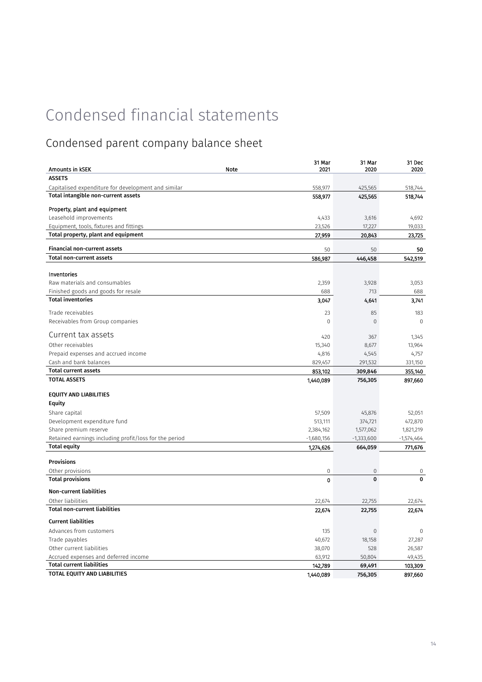## Condensed parent company balance sheet

| Amounts in KSEK                                           | 31 Mar<br>Note<br>2021 | 31 Mar<br>2020 | 31 Dec<br>2020 |
|-----------------------------------------------------------|------------------------|----------------|----------------|
| <b>ASSETS</b>                                             |                        |                |                |
| Capitalised expenditure for development and similar       | 558,977                | 425,565        | 518,744        |
| Total intangible non-current assets                       | 558,977                | 425,565        | 518,744        |
|                                                           |                        |                |                |
| Property, plant and equipment                             |                        |                |                |
| Leasehold improvements                                    | 4,433                  | 3,616          | 4,692          |
| Equipment, tools, fixtures and fittings                   | 23,526                 | 17,227         | 19,033         |
| Total property, plant and equipment                       | 27,959                 | 20,843         | 23,725         |
| <b>Financial non-current assets</b>                       | 50                     | 50             | 50             |
| <b>Total non-current assets</b>                           | 586,987                | 446,458        | 542,519        |
|                                                           |                        |                |                |
| Inventories                                               |                        |                |                |
| Raw materials and consumables                             | 2,359                  | 3,928          | 3,053          |
| Finished goods and goods for resale                       | 688                    | 713            | 688            |
| <b>Total inventories</b>                                  | 3,047                  | 4,641          | 3,741          |
| Trade receivables                                         | 23                     | 85             | 183            |
| Receivables from Group companies                          | $\mathbf{0}$           | $\overline{0}$ | $\Omega$       |
|                                                           |                        |                |                |
| Current tax assets                                        | 420                    | 367            | 1,345          |
| Other receivables                                         | 15,340                 | 8,677          | 13,964         |
| Prepaid expenses and accrued income                       | 4,816                  | 4,545          | 4,757          |
| Cash and bank balances                                    | 829,457                | 291,532        | 331,150        |
| <b>Total current assets</b>                               | 853,102                | 309,846        | 355,140        |
| <b>TOTAL ASSETS</b>                                       | 1,440,089              | 756,305        | 897,660        |
| <b>EQUITY AND LIABILITIES</b>                             |                        |                |                |
| <b>Equity</b>                                             |                        |                |                |
| Share capital                                             | 57,509                 | 45,876         | 52,051         |
| Development expenditure fund                              | 513,111                | 374,721        | 472,870        |
| Share premium reserve                                     | 2,384,162              | 1,577,062      | 1,821,219      |
| Retained earnings including profit/loss for the period    | $-1,680,156$           | $-1,333,600$   | $-1,574,464$   |
| <b>Total equity</b>                                       | 1,274,626              | 664,059        | 771,676        |
| <b>Provisions</b>                                         |                        |                |                |
| Other provisions                                          | $\mathbf 0$            | $\mathbf 0$    | 0              |
| <b>Total provisions</b>                                   | $\mathbf 0$            | $\mathbf{0}$   | 0              |
|                                                           |                        |                |                |
| <b>Non-current liabilities</b>                            |                        |                |                |
| Other liabilities<br><b>Total non-current liabilities</b> | 22,674                 | 22,755         | 22,674         |
|                                                           | 22,674                 | 22,755         | 22,674         |
| <b>Current liabilities</b>                                |                        |                |                |
| Advances from customers                                   | 135                    | $\mathbf 0$    | $\Omega$       |
| Trade payables                                            | 40,672                 | 18,158         | 27,287         |
| Other current liabilities                                 | 38,070                 | 528            | 26,587         |
| Accrued expenses and deferred income                      | 63,912                 | 50,804         | 49,435         |
| <b>Total current liabilities</b>                          | 142,789                | 69,491         | 103,309        |
| TOTAL EQUITY AND LIABILITIES                              | 1,440,089              | 756,305        | 897,660        |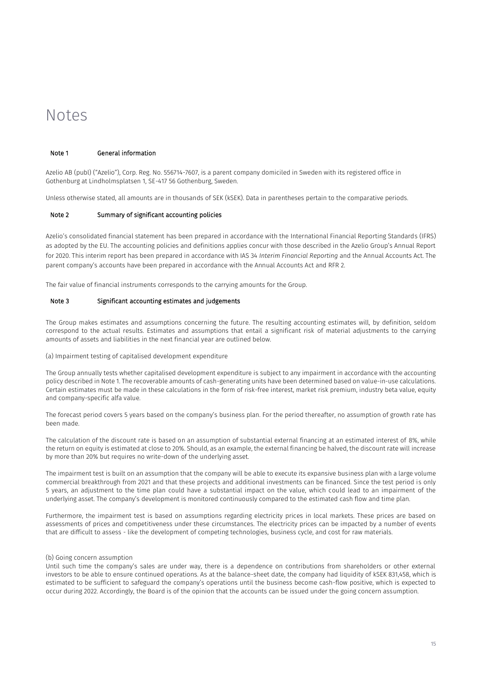## <span id="page-14-0"></span>Notes

### Note 1 General information

Azelio AB (publ) ("Azelio"), Corp. Reg. No. 556714-7607, is a parent company domiciled in Sweden with its registered office in Gothenburg at Lindholmsplatsen 1, SE-417 56 Gothenburg, Sweden.

Unless otherwise stated, all amounts are in thousands of SEK (kSEK). Data in parentheses pertain to the comparative periods.

### Note 2 Summary of significant accounting policies

Azelio's consolidated financial statement has been prepared in accordance with the International Financial Reporting Standards (IFRS) as adopted by the EU. The accounting policies and definitions applies concur with those described in the Azelio Group's Annual Report for 2020. This interim report has been prepared in accordance with IAS 34 *Interim Financial Reporting* and the Annual Accounts Act. The parent company's accounts have been prepared in accordance with the Annual Accounts Act and RFR 2.

The fair value of financial instruments corresponds to the carrying amounts for the Group.

### Note 3 Significant accounting estimates and judgements

The Group makes estimates and assumptions concerning the future. The resulting accounting estimates will, by definition, seldom correspond to the actual results. Estimates and assumptions that entail a significant risk of material adjustments to the carrying amounts of assets and liabilities in the next financial year are outlined below.

#### (a) Impairment testing of capitalised development expenditure

The Group annually tests whether capitalised development expenditure is subject to any impairment in accordance with the accounting policy described in Note 1. The recoverable amounts of cash-generating units have been determined based on value-in-use calculations. Certain estimates must be made in these calculations in the form of risk-free interest, market risk premium, industry beta value, equity and company-specific alfa value.

The forecast period covers 5 years based on the company's business plan. For the period thereafter, no assumption of growth rate has been made.

The calculation of the discount rate is based on an assumption of substantial external financing at an estimated interest of 8%, while the return on equity is estimated at close to 20%. Should, as an example, the external financing be halved, the discount rate will increase by more than 20% but requires no write-down of the underlying asset.

The impairment test is built on an assumption that the company will be able to execute its expansive business plan with a large volume commercial breakthrough from 2021 and that these projects and additional investments can be financed. Since the test period is only 5 years, an adjustment to the time plan could have a substantial impact on the value, which could lead to an impairment of the underlying asset. The company's development is monitored continuously compared to the estimated cash flow and time plan.

Furthermore, the impairment test is based on assumptions regarding electricity prices in local markets. These prices are based on assessments of prices and competitiveness under these circumstances. The electricity prices can be impacted by a number of events that are difficult to assess - like the development of competing technologies, business cycle, and cost for raw materials.

#### (b) Going concern assumption

Until such time the company's sales are under way, there is a dependence on contributions from shareholders or other external investors to be able to ensure continued operations. As at the balance-sheet date, the company had liquidity of kSEK 831,458, which is estimated to be sufficient to safeguard the company's operations until the business become cash-flow positive, which is expected to occur during 2022. Accordingly, the Board is of the opinion that the accounts can be issued under the going concern assumption.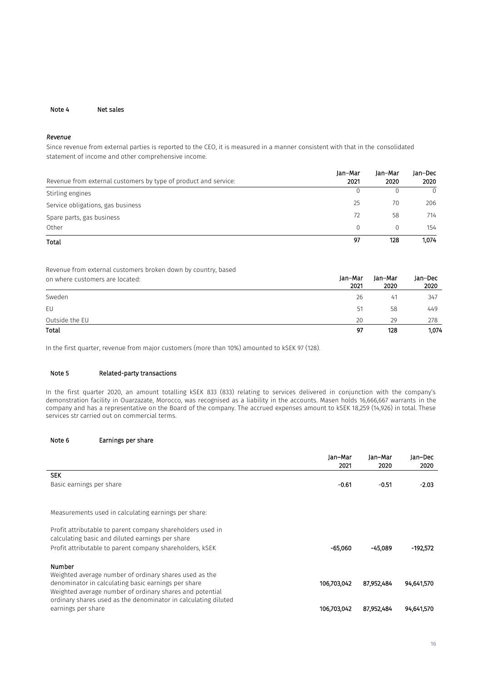#### Note 4 Net sales

### *Revenue*

Since revenue from external parties is reported to the CEO, it is measured in a manner consistent with that in the consolidated statement of income and other comprehensive income.

|                                                                 | lan-Mar  | lan-Mar | Jan-Dec  |
|-----------------------------------------------------------------|----------|---------|----------|
| Revenue from external customers by type of product and service: | 2021     | 2020    | 2020     |
| Stirling engines                                                |          |         | $\Omega$ |
| Service obligations, gas business                               | 25       | 70      | 206      |
| Spare parts, gas business                                       | 72       | 58      | 714      |
| Other                                                           | $\Omega$ |         | 154      |
| Total                                                           | 97       | 128     | 1,074    |

Revenue from external customers broken down by country, based

| on where customers are located: | Jan-Mar<br>2021 | Jan-Mar<br>2020 | Jan-Dec<br>2020 |
|---------------------------------|-----------------|-----------------|-----------------|
| Sweden                          | 26              | 41              | 347             |
| EU                              | 51              | 58              | 449             |
| Outside the EU                  | 20              | 29              | 278             |
| Total                           | 97              | 128             | 1,074           |

In the first quarter, revenue from major customers (more than 10%) amounted to kSEK 97 (128).

### Note 5 Related-party transactions

In the first quarter 2020, an amount totalling kSEK 833 (833) relating to services delivered in conjunction with the company's demonstration facility in Ouarzazate, Morocco, was recognised as a liability in the accounts. Masen holds 16,666,667 warrants in the company and has a representative on the Board of the company. The accrued expenses amount to kSEK 18,259 (14,926) in total. These services str carried out on commercial terms.

### Note 6 Earnings per share

| Jan-Mar<br>2021 | Jan-Mar<br>2020 | Jan-Dec<br>2020          |
|-----------------|-----------------|--------------------------|
|                 |                 |                          |
| $-0.61$         | $-0.51$         | $-2.03$                  |
|                 |                 |                          |
|                 |                 |                          |
| $-65.060$       | $-45.089$       | -192.572                 |
|                 |                 |                          |
|                 |                 | 94,641,570               |
|                 |                 |                          |
| 106,703,042     |                 | 94,641,570               |
|                 | 106,703,042     | 87,952,484<br>87,952,484 |

Jan–Dec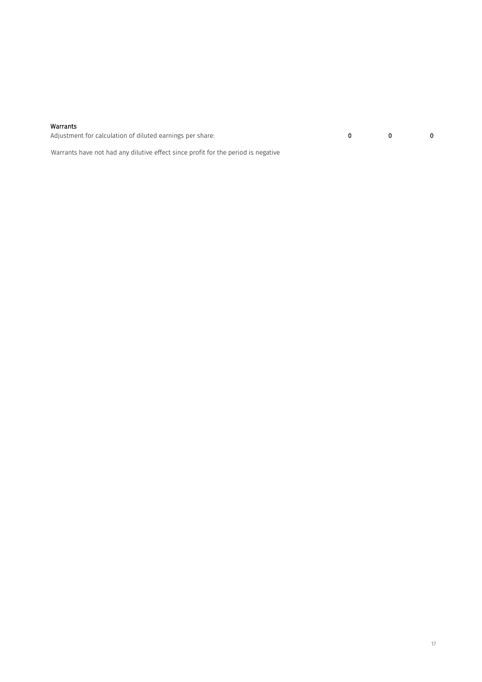#### Warrants

Adjustment for calculation of diluted earnings per share: 0 0 0

Warrants have not had any dilutive effect since profit for the period is negative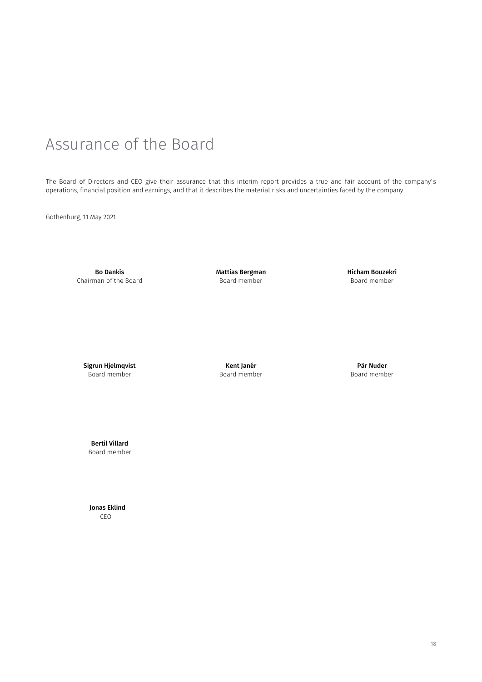# <span id="page-17-0"></span>Assurance of the Board

The Board of Directors and CEO give their assurance that this interim report provides a true and fair account of the company's operations, financial position and earnings, and that it describes the material risks and uncertainties faced by the company.

Gothenburg, 11 May 2021

Bo Dankis Chairman of the Board Mattias Bergman Board member

Hicham Bouzekri Board member

Sigrun Hjelmqvist Board member

Kent Janér Board member

Pär Nuder Board member

Bertil Villard Board member

 Jonas Eklind CEO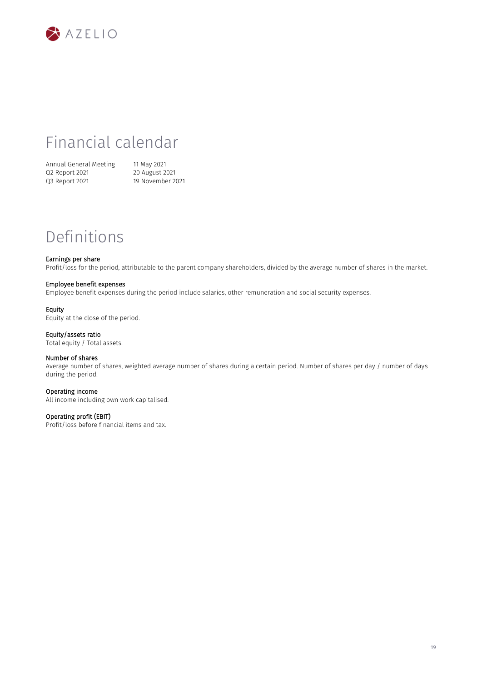![](_page_18_Picture_0.jpeg)

## Financial calendar

Annual General Meeting 11 May 2021<br>Q2 Report 2021 20 August 2021 Q2 Report 2021<br>Q3 Report 2021

19 November 2021

## Definitions

### Earnings per share

Profit/loss for the period, attributable to the parent company shareholders, divided by the average number of shares in the market.

### Employee benefit expenses

Employee benefit expenses during the period include salaries, other remuneration and social security expenses.

#### Equity

Equity at the close of the period.

### Equity/assets ratio

Total equity / Total assets.

### Number of shares

Average number of shares, weighted average number of shares during a certain period. Number of shares per day / number of days during the period.

#### Operating income

All income including own work capitalised.

### Operating profit (EBIT)

Profit/loss before financial items and tax.